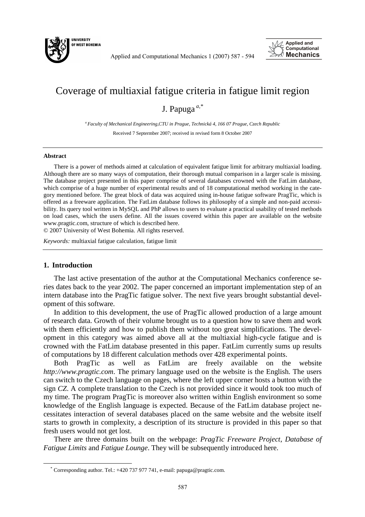

Applied and Computational Mechanics 1 (2007) 587 - 594



# Coverage of multiaxial fatigue criteria in fatigue limit region

J. Papuga *a,\**

*<sup>a</sup>Faculty of Mechanical Engineering,CTU in Prague, Technická 4, 166 07 Prague, Czech Republic*  Received 7 Septermber 2007; received in revised form 8 October 2007

#### **Abstract**

There is a power of methods aimed at calculation of equivalent fatigue limit for arbitrary multiaxial loading. Although there are so many ways of computation, their thorough mutual comparison in a larger scale is missing. The database project presented in this paper comprise of several databases crowned with the FatLim database, which comprise of a huge number of experimental results and of 18 computational method working in the category mentioned before. The great block of data was acquired using in-house fatigue software PragTic, which is offered as a freeware application. The FatLim database follows its philosophy of a simple and non-paid accessibility. Its query tool written in MySQL and PhP allows to users to evaluate a practical usability of tested methods on load cases, which the users define. All the issues covered within this paper are available on the website www.pragtic.com, structure of which is described here.

© 2007 University of West Bohemia. All rights reserved.

*Keywords:* multiaxial fatigue calculation, fatigue limit

# **1. Introduction**

 $\overline{a}$ 

The last active presentation of the author at the Computational Mechanics conference series dates back to the year 2002. The paper concerned an important implementation step of an intern database into the PragTic fatigue solver. The next five years brought substantial development of this software.

In addition to this development, the use of PragTic allowed production of a large amount of research data. Growth of their volume brought us to a question how to save them and work with them efficiently and how to publish them without too great simplifications. The development in this category was aimed above all at the multiaxial high-cycle fatigue and is crowned with the FatLim database presented in this paper. FatLim currently sums up results of computations by 18 different calculation methods over 428 experimental points.

Both PragTic as well as FatLim are freely available on the website *http://www.pragtic.com*. The primary language used on the website is the English. The users can switch to the Czech language on pages, where the left upper corner hosts a button with the sign *CZ*. A complete translation to the Czech is not provided since it would took too much of my time. The program PragTic is moreover also written within English environment so some knowledge of the English language is expected. Because of the FatLim database project necessitates interaction of several databases placed on the same website and the website itself starts to growth in complexity, a description of its structure is provided in this paper so that fresh users would not get lost.

There are three domains built on the webpage: *PragTic Freeware Project*, *Database of Fatigue Limits* and *Fatigue Lounge*. They will be subsequently introduced here.

<sup>\*</sup> Corresponding author. Tel.: +420 737 977 741, e-mail: papuga@pragtic.com.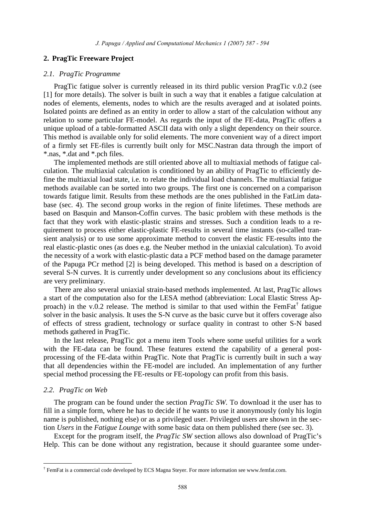## **2. PragTic Freeware Project**

#### *2.1. PragTic Programme*

PragTic fatigue solver is currently released in its third public version PragTic v.0.2 (see [1] for more details). The solver is built in such a way that it enables a fatigue calculation at nodes of elements, elements, nodes to which are the results averaged and at isolated points. Isolated points are defined as an entity in order to allow a start of the calculation without any relation to some particular FE-model. As regards the input of the FE-data, PragTic offers a unique upload of a table-formatted ASCII data with only a slight dependency on their source. This method is available only for solid elements. The more convenient way of a direct import of a firmly set FE-files is currently built only for MSC.Nastran data through the import of \*.nas, \*.dat and \*.pch files.

The implemented methods are still oriented above all to multiaxial methods of fatigue calculation. The multiaxial calculation is conditioned by an ability of PragTic to efficiently define the multiaxial load state, i.e. to relate the individual load channels. The multiaxial fatigue methods available can be sorted into two groups. The first one is concerned on a comparison towards fatigue limit. Results from these methods are the ones published in the FatLim database (sec. 4). The second group works in the region of finite lifetimes. These methods are based on Basquin and Manson-Coffin curves. The basic problem with these methods is the fact that they work with elastic-plastic strains and stresses. Such a condition leads to a requirement to process either elastic-plastic FE-results in several time instants (so-called transient analysis) or to use some approximate method to convert the elastic FE-results into the real elastic-plastic ones (as does e.g. the Neuber method in the uniaxial calculation). To avoid the necessity of a work with elastic-plastic data a PCF method based on the damage parameter of the Papuga PCr method [2] is being developed. This method is based on a description of several S-N curves. It is currently under development so any conclusions about its efficiency are very preliminary.

There are also several uniaxial strain-based methods implemented. At last, PragTic allows a start of the computation also for the LESA method (abbreviation: Local Elastic Stress Approach) in the v.0.2 release. The method is similar to that used within the FemFat<sup>†</sup> fatigue solver in the basic analysis. It uses the S-N curve as the basic curve but it offers coverage also of effects of stress gradient, technology or surface quality in contrast to other S-N based methods gathered in PragTic.

In the last release, PragTic got a menu item Tools where some useful utilities for a work with the FE-data can be found. These features extend the capability of a general postprocessing of the FE-data within PragTic. Note that PragTic is currently built in such a way that all dependencies within the FE-model are included. An implementation of any further special method processing the FE-results or FE-topology can profit from this basis.

#### *2.2. PragTic on Web*

 $\overline{a}$ 

The program can be found under the section *PragTic SW*. To download it the user has to fill in a simple form, where he has to decide if he wants to use it anonymously (only his login name is published, nothing else) or as a privileged user. Privileged users are shown in the section *Users* in the *Fatigue Lounge* with some basic data on them published there (see sec. 3).

Except for the program itself, the *PragTic SW* section allows also download of PragTic's Help. This can be done without any registration, because it should guarantee some under-

<sup>†</sup> FemFat is a commercial code developed by ECS Magna Steyer. For more information see www.femfat.com.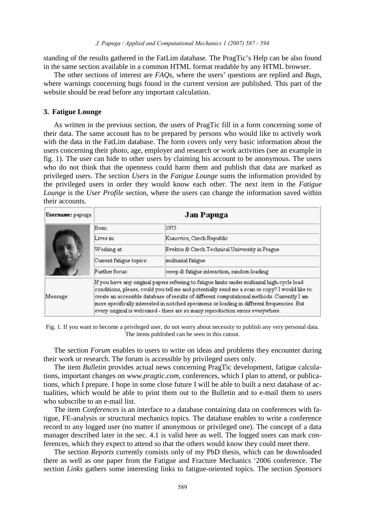standing of the results gathered in the FatLim database. The PragTic's Help can be also found in the same section available in a common HTML format readable by any HTML browser.

The other sections of interest are *FAQs*, where the users' questions are replied and *Bugs*, where warnings concerning bugs found in the current version are published. This part of the website should be read before any important calculation.

# **3. Fatigue Lounge**

As written in the previous section, the users of PragTic fill in a form concerning some of their data. The same account has to be prepared by persons who would like to actively work with the data in the FatLim database. The form covers only very basic information about the users concerning their photo, age, employer and research or work activities (see an example in fig. 1). The user can hide to other users by claiming his account to be anonymous. The users who do not think that the openness could harm them and publish that data are marked as privileged users. The section *Users* in the *Fatigue Lounge* sums the information provided by the privileged users in order they would know each other. The next item in the *Fatigue Lounge* is the *User Profile* section, where the users can change the information saved within their accounts.

| Username: papuga | Jan Papuga              |                                                                                                                                                                                                                                                                                                                                                                                                                                                                              |  |  |  |  |  |  |  |
|------------------|-------------------------|------------------------------------------------------------------------------------------------------------------------------------------------------------------------------------------------------------------------------------------------------------------------------------------------------------------------------------------------------------------------------------------------------------------------------------------------------------------------------|--|--|--|--|--|--|--|
|                  | Bom:                    | 1975                                                                                                                                                                                                                                                                                                                                                                                                                                                                         |  |  |  |  |  |  |  |
|                  | Lives in:               | Kunovice, Czech Republic                                                                                                                                                                                                                                                                                                                                                                                                                                                     |  |  |  |  |  |  |  |
|                  | Working at:             | Evektor & Czech Technical University in Prague<br>multiaxial fatigue<br>creep & fatigue interaction, random loading                                                                                                                                                                                                                                                                                                                                                          |  |  |  |  |  |  |  |
|                  | Current fatigue topics: |                                                                                                                                                                                                                                                                                                                                                                                                                                                                              |  |  |  |  |  |  |  |
|                  | Further focus:          |                                                                                                                                                                                                                                                                                                                                                                                                                                                                              |  |  |  |  |  |  |  |
| Message:         |                         | If you have any original papers referring to fatigue limits under multiaxial high-cycle load<br>conditions, please, could you tell me and potentially send me a scan or copy? I would like to<br>create an accessible database of results of different computational methods. Currently I am<br>more specifically interested in notched specimens or loading in different frequencies. But<br>every original is welcomed - there are so many reproduction errors everywhere. |  |  |  |  |  |  |  |

Fig. 1. If you want to become a privileged user, do not worry about necessity to publish any very personal data. The items published can be seen in this cutout.

The section *Forum* enables to users to write on ideas and problems they encounter during their work or research. The forum is accessible by privileged users only.

The item *Bulletin* provides actual news concerning PragTic development, fatigue calculations, important changes on *www.pragtic.com*, conferences, which I plan to attend, or publications, which I prepare. I hope in some close future I will be able to built a next database of actualities, which would be able to print them out to the Bulletin and to e-mail them to users who subscribe to an e-mail list.

The item *Conferences* is an interface to a database containing data on conferences with fatigue, FE-analysis or structural mechanics topics. The database enables to write a conference record to any logged user (no matter if anonymous or privileged one). The concept of a data manager described later in the sec. 4.1 is valid here as well. The logged users can mark conferences, which they expect to attend so that the others would know they could meet there.

The section *Reports* currently consists only of my PhD thesis, which can be downloaded there as well as one paper from the Fatigue and Fracture Mechanics '2006 conference. The section *Links* gathers some interesting links to fatigue-oriented topics. The section *Sponsors*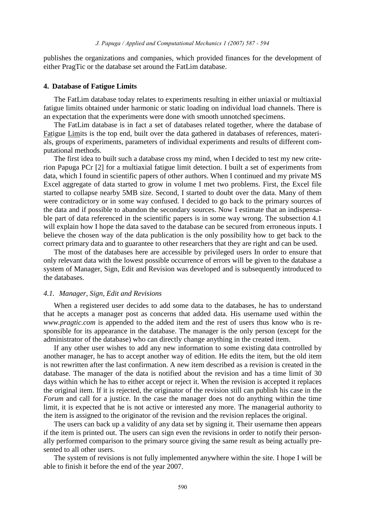publishes the organizations and companies, which provided finances for the development of either PragTic or the database set around the FatLim database.

#### **4. Database of Fatigue Limits**

The FatLim database today relates to experiments resulting in either uniaxial or multiaxial fatigue limits obtained under harmonic or static loading on individual load channels. There is an expectation that the experiments were done with smooth unnotched specimens.

The FatLim database is in fact a set of databases related together, where the database of Fatigue Limits is the top end, built over the data gathered in databases of references, materials, groups of experiments, parameters of individual experiments and results of different computational methods.

The first idea to built such a database cross my mind, when I decided to test my new criterion Papuga PCr [2] for a multiaxial fatigue limit detection. I built a set of experiments from data, which I found in scientific papers of other authors. When I continued and my private MS Excel aggregate of data started to grow in volume I met two problems. First, the Excel file started to collapse nearby 5MB size. Second, I started to doubt over the data. Many of them were contradictory or in some way confused. I decided to go back to the primary sources of the data and if possible to abandon the secondary sources. Now I estimate that an indispensable part of data referenced in the scientific papers is in some way wrong. The subsection 4.1 will explain how I hope the data saved to the database can be secured from erroneous inputs. I believe the chosen way of the data publication is the only possibility how to get back to the correct primary data and to guarantee to other researchers that they are right and can be used.

The most of the databases here are accessible by privileged users In order to ensure that only relevant data with the lowest possible occurrence of errors will be given to the database a system of Manager, Sign, Edit and Revision was developed and is subsequently introduced to the databases.

## *4.1. Manager, Sign, Edit and Revisions*

When a registered user decides to add some data to the databases, he has to understand that he accepts a manager post as concerns that added data. His username used within the *www.pragtic.com* is appended to the added item and the rest of users thus know who is responsible for its appearance in the database. The manager is the only person (except for the administrator of the database) who can directly change anything in the created item.

If any other user wishes to add any new information to some existing data controlled by another manager, he has to accept another way of edition. He edits the item, but the old item is not rewritten after the last confirmation. A new item described as a revision is created in the database. The manager of the data is notified about the revision and has a time limit of 30 days within which he has to either accept or reject it. When the revision is accepted it replaces the original item. If it is rejected, the originator of the revision still can publish his case in the *Forum* and call for a justice. In the case the manager does not do anything within the time limit, it is expected that he is not active or interested any more. The managerial authority to the item is assigned to the originator of the revision and the revision replaces the original.

The users can back up a validity of any data set by signing it. Their username then appears if the item is printed out. The users can sign even the revisions in order to notify their personally performed comparison to the primary source giving the same result as being actually presented to all other users.

The system of revisions is not fully implemented anywhere within the site. I hope I will be able to finish it before the end of the year 2007.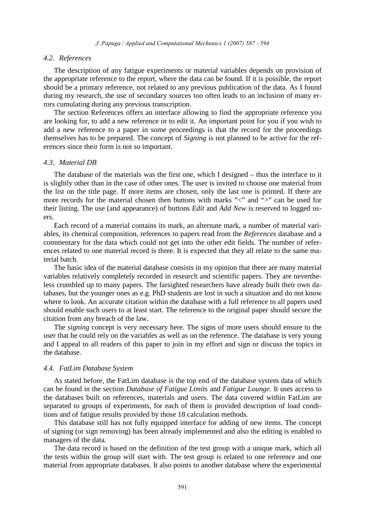## *4.2. References*

The description of any fatigue experiments or material variables depends on provision of the appropriate reference to the report, where the data can be found. If it is possible, the report should be a primary reference, not related to any previous publication of the data. As I found during my research, the use of secondary sources too often leads to an inclusion of many errors cumulating during any previous transcription.

The section References offers an interface allowing to find the appropriate reference you are looking for, to add a new reference or to edit it. An important point for you if you wish to add a new reference to a paper in some proceedings is that the record for the proceedings themselves has to be prepared. The concept of *Signing* is not planned to be active for the references since their form is not so important.

## *4.3. Material DB*

The database of the materials was the first one, which I designed – thus the interface to it is slightly other than in the case of other ones. The user is invited to choose one material from the list on the title page. If more items are chosen, only the last one is printed. If there are more records for the material chosen then buttons with marks "<" and ">" can be used for their listing. The use (and appearance) of buttons *Edit* and *Add New* is reserved to logged users.

Each record of a material contains its mark, an alternate mark, a number of material variables, its chemical composition, references to papers read from the *References* database and a commentary for the data which could not get into the other edit fields. The number of references related to one material record is three. It is expected that they all relate to the same material batch.

The basic idea of the material database consists in my opinion that there are many material variables relatively completely recorded in research and scientific papers. They are nevertheless crumbled up to many papers. The farsighted researchers have already built their own databases, but the younger ones as e.g. PhD students are lost in such a situation and do not know where to look. An accurate citation within the database with a full reference to all papers used should enable such users to at least start. The reference to the original paper should secure the citation from any breach of the law.

The *signing* concept is very necessary here. The signs of more users should ensure to the user that he could rely on the variables as well as on the reference. The database is very young and I appeal to all readers of this paper to join in my effort and sign or discuss the topics in the database.

# *4.4. FatLim Database System*

As stated before, the FatLim database is the top end of the database system data of which can be found in the section *Database of Fatigue Limits* and *Fatigue Lounge*. It uses access to the databases built on references, materials and users. The data covered within FatLim are separated to groups of experiments, for each of them is provided description of load conditions and of fatigue results provided by those 18 calculation methods.

This database still has not fully equipped interface for adding of new items. The concept of signing (or sign removing) has been already implemented and also the editing is enabled to managers of the data.

The data record is based on the definition of the test group with a unique mark, which all the tests within the group will start with. The test group is related to one reference and one material from appropriate databases. It also points to another database where the experimental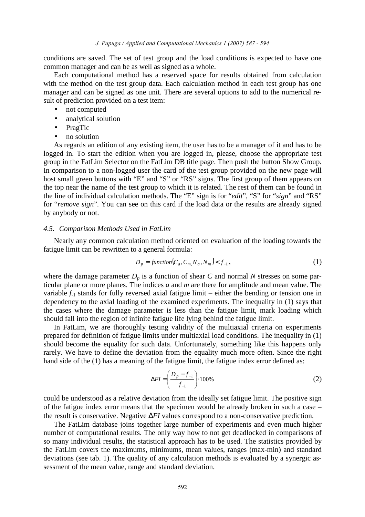conditions are saved. The set of test group and the load conditions is expected to have one common manager and can be as well as signed as a whole.

Each computational method has a reserved space for results obtained from calculation with the method on the test group data. Each calculation method in each test group has one manager and can be signed as one unit. There are several options to add to the numerical result of prediction provided on a test item:

- not computed
- analytical solution
- PragTic
- no solution

As regards an edition of any existing item, the user has to be a manager of it and has to be logged in. To start the edition when you are logged in, please, choose the appropriate test group in the FatLim Selector on the FatLim DB title page. Then push the button Show Group. In comparison to a non-logged user the card of the test group provided on the new page will host small green buttons with "E" and "S" or "RS" signs. The first group of them appears on the top near the name of the test group to which it is related. The rest of them can be found in the line of individual calculation methods. The "E" sign is for "*edit*", "S" for "*sign*" and "RS" for "*remove sign*". You can see on this card if the load data or the results are already signed by anybody or not.

#### *4.5. Comparison Methods Used in FatLim*

Nearly any common calculation method oriented on evaluation of the loading towards the fatigue limit can be rewritten to a general formula:

$$
D_p = function(C_a, C_m, N_a, N_m) < f_{-1}, \tag{1}
$$

where the damage parameter  $D_p$  is a function of shear C and normal N stresses on some particular plane or more planes. The indices *a* and *m* are there for amplitude and mean value. The variable  $f_1$  stands for fully reversed axial fatigue limit – either the bending or tension one in dependency to the axial loading of the examined experiments. The inequality in (1) says that the cases where the damage parameter is less than the fatigue limit, mark loading which should fall into the region of infinite fatigue life lying behind the fatigue limit.

In FatLim, we are thoroughly testing validity of the multiaxial criteria on experiments prepared for definition of fatigue limits under multiaxial load conditions. The inequality in (1) should become the equality for such data. Unfortunately, something like this happens only rarely. We have to define the deviation from the equality much more often. Since the right hand side of the (1) has a meaning of the fatigue limit, the fatigue index error defined as:

$$
\Delta FI = \left(\frac{D_p - f_{-1}}{f_{-1}}\right) \cdot 100\% \tag{2}
$$

could be understood as a relative deviation from the ideally set fatigue limit. The positive sign of the fatigue index error means that the specimen would be already broken in such a case – the result is conservative. Negative ∆*FI* values correspond to a non-conservative prediction.

The FatLim database joins together large number of experiments and even much higher number of computational results. The only way how to not get deadlocked in comparisons of so many individual results, the statistical approach has to be used. The statistics provided by the FatLim covers the maximums, minimums, mean values, ranges (max-min) and standard deviations (see tab. 1). The quality of any calculation methods is evaluated by a synergic assessment of the mean value, range and standard deviation.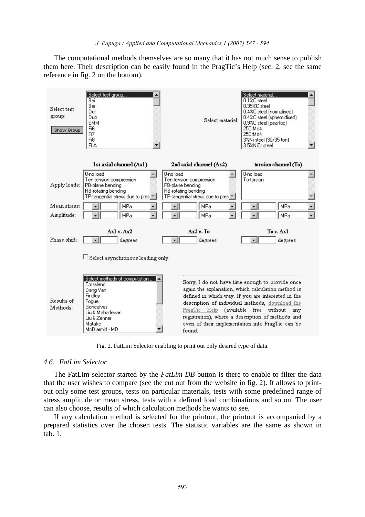#### J. Papuga / Applied and Computational Mechanics 1 (2007) 587 - 594

The computational methods themselves are so many that it has not much sense to publish them here. Their description can be easily found in the PragTic's Help (sec. 2, see the same reference in fig. 2 on the bottom).



Fig. 2. FatLim Selector enabling to print out only desired type of data.

## *4.6. FatLim Selector*

The FatLim selector started by the *FatLim DB* button is there to enable to filter the data that the user wishes to compare (see the cut out from the website in fig. 2). It allows to printout only some test groups, tests on particular materials, tests with some predefined range of stress amplitude or mean stress, tests with a defined load combinations and so on. The user can also choose, results of which calculation methods he wants to see.

If any calculation method is selected for the printout, the printout is accompanied by a prepared statistics over the chosen tests. The statistic variables are the same as shown in tab. 1.